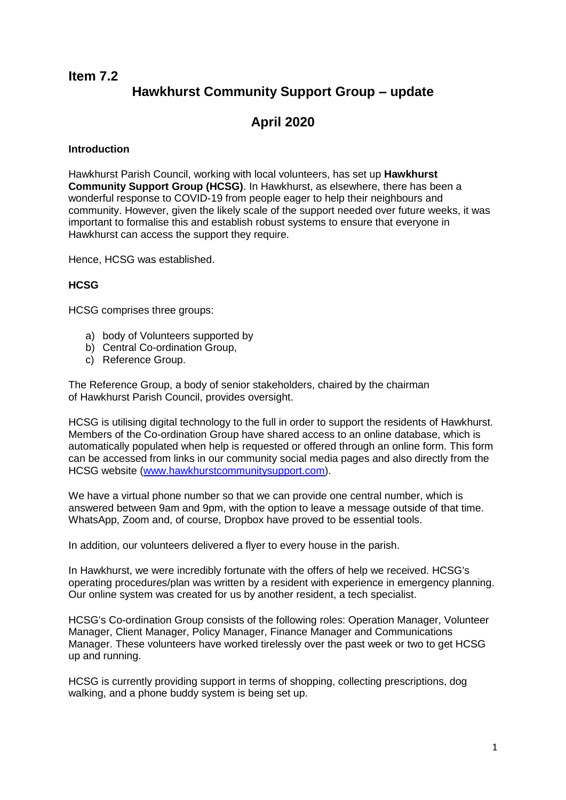## **Item 7.2 Hawkhurst Community Support Group – update**

# **April 2020**

### **Introduction**

Hawkhurst Parish Council, working with local volunteers, has set up **Hawkhurst Community Support Group (HCSG)**. In Hawkhurst, as elsewhere, there has been a wonderful response to COVID-19 from people eager to help their neighbours and community. However, given the likely scale of the support needed over future weeks, it was important to formalise this and establish robust systems to ensure that everyone in Hawkhurst can access the support they require.

Hence, HCSG was established.

## **HCSG**

HCSG comprises three groups:

- a) body of Volunteers supported by
- b) Central Co-ordination Group,
- c) Reference Group.

The Reference Group, a body of senior stakeholders, chaired by the chairman of Hawkhurst Parish Council, provides oversight.

HCSG is utilising digital technology to the full in order to support the residents of Hawkhurst. Members of the Co-ordination Group have shared access to an online database, which is automatically populated when help is requested or offered through an online form. This form can be accessed from links in our community social media pages and also directly from the HCSG website [\(www.hawkhurstcommunitysupport.com\)](https://www.hawkhurstcommunitysupport.com/).

We have a virtual phone number so that we can provide one central number, which is answered between 9am and 9pm, with the option to leave a message outside of that time. WhatsApp, Zoom and, of course, Dropbox have proved to be essential tools.

In addition, our volunteers delivered a flyer to every house in the parish.

In Hawkhurst, we were incredibly fortunate with the offers of help we received. HCSG's operating procedures/plan was written by a resident with experience in emergency planning. Our online system was created for us by another resident, a tech specialist.

HCSG's Co-ordination Group consists of the following roles: Operation Manager, Volunteer Manager, Client Manager, Policy Manager, Finance Manager and Communications Manager. These volunteers have worked tirelessly over the past week or two to get HCSG up and running.

HCSG is currently providing support in terms of shopping, collecting prescriptions, dog walking, and a phone buddy system is being set up.